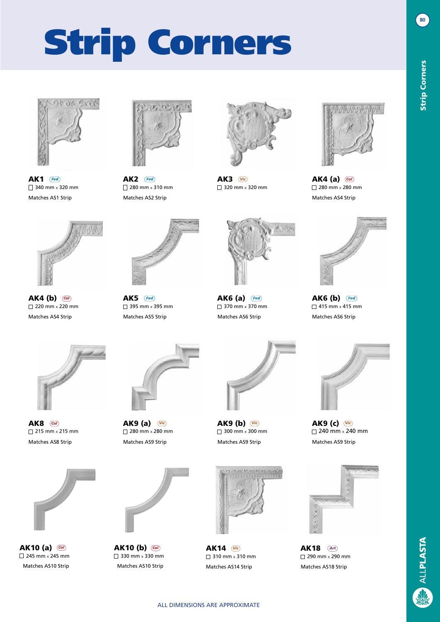



**AK1** (Fed)  $\Box$  340 mm x 320 mm Matches AS1 Strip Matches AS2 Strip Matches AS2 Strip Matches AS4 Strip Matches AS4 Strip



 $AK2$   $($  Fed  $\Box$  280 mm x 310 mm AK4 (a) *Fed Fed Vic Col*



AK3 (Vic)  $\Box$  320 mm x 320 mm



 $\Box$  280 mm x 280 mm



AK4 (b) @  $\sqrt{220 \text{ mm}} \times 220 \text{ mm}$ Matches AS4 Strip Matches AS5 Strip Matches AS6 Strip Matches AS6 Strip



AK5 (Fed)  $\overline{\Box}$  395 mm x 395 mm AK6 (a) *Col Fed Fed Fed*



 $\Box$  370 mm x 370 mm



AK6 (b) **Fed**  $\Box$  415 mm x 415 mm



**AK8** @  $\Box$  215 mm x 215 mm



AK10 (a) <sup>(a)</sup>  $\Box$  245 mm x 245 mm



 $\Box$  280 mm  $\times$  280 mm Matches AS8 Strip Matches AS9 Strip Matches AS9 Strip Matches AS9 Strip



AK10 (b) *Col Col*  $\Box$  330 mm x 330 mm Matches AS10 Strip Matches AS10 Strip



 $\Box$  300 mm x 300 mm



**AK14**  $(*Vi*<sub>c</sub>)$  $\Box$  310 mm x 310 mm Matches AS14 Strip Matches AS18 Strip



AK9 (c) Vic  $\Box$  240 mm  $\times$  240 mm



AK18 *Vic Art*  $\Box$  290 mm x 290 mm

**80**

Strip Corners

**Strip Corners**